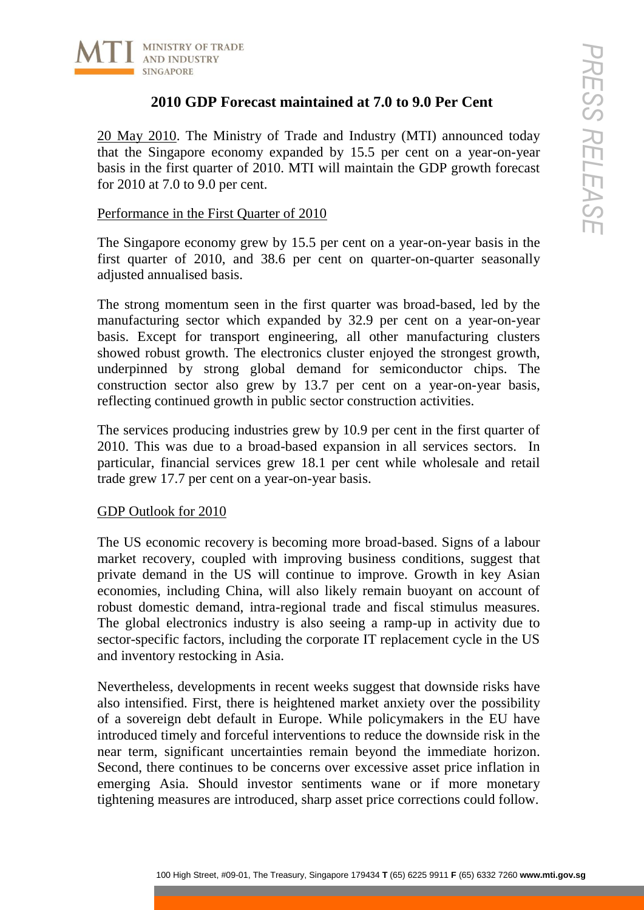

# **2010 GDP Forecast maintained at 7.0 to 9.0 Per Cent**

20 May 2010. The Ministry of Trade and Industry (MTI) announced today that the Singapore economy expanded by 15.5 per cent on a year-on-year basis in the first quarter of 2010. MTI will maintain the GDP growth forecast for 2010 at 7.0 to 9.0 per cent.

### Performance in the First Quarter of 2010

The Singapore economy grew by 15.5 per cent on a year-on-year basis in the first quarter of 2010, and 38.6 per cent on quarter-on-quarter seasonally adjusted annualised basis.

The strong momentum seen in the first quarter was broad-based, led by the manufacturing sector which expanded by 32.9 per cent on a year-on-year basis. Except for transport engineering, all other manufacturing clusters showed robust growth. The electronics cluster enjoyed the strongest growth, underpinned by strong global demand for semiconductor chips. The construction sector also grew by 13.7 per cent on a year-on-year basis, reflecting continued growth in public sector construction activities.

The services producing industries grew by 10.9 per cent in the first quarter of 2010. This was due to a broad-based expansion in all services sectors. In particular, financial services grew 18.1 per cent while wholesale and retail trade grew 17.7 per cent on a year-on-year basis.

## GDP Outlook for 2010

The US economic recovery is becoming more broad-based. Signs of a labour market recovery, coupled with improving business conditions, suggest that private demand in the US will continue to improve. Growth in key Asian economies, including China, will also likely remain buoyant on account of robust domestic demand, intra-regional trade and fiscal stimulus measures. The global electronics industry is also seeing a ramp-up in activity due to sector-specific factors, including the corporate IT replacement cycle in the US and inventory restocking in Asia.

100 High Street, #100 High Street, #100 Manuster (MTD) umpoureed today<br>
2010 GDP Forecast maintained at 7.0 to 9.0 Per Cent<br>
1010. The Ministry of Trade and Industry (MTD) umpoureed only<br>
17.70 to 9.0 per cent.<br>
179 to 9.0 Nevertheless, developments in recent weeks suggest that downside risks have also intensified. First, there is heightened market anxiety over the possibility of a sovereign debt default in Europe. While policymakers in the EU have introduced timely and forceful interventions to reduce the downside risk in the near term, significant uncertainties remain beyond the immediate horizon. Second, there continues to be concerns over excessive asset price inflation in emerging Asia. Should investor sentiments wane or if more monetary tightening measures are introduced, sharp asset price corrections could follow.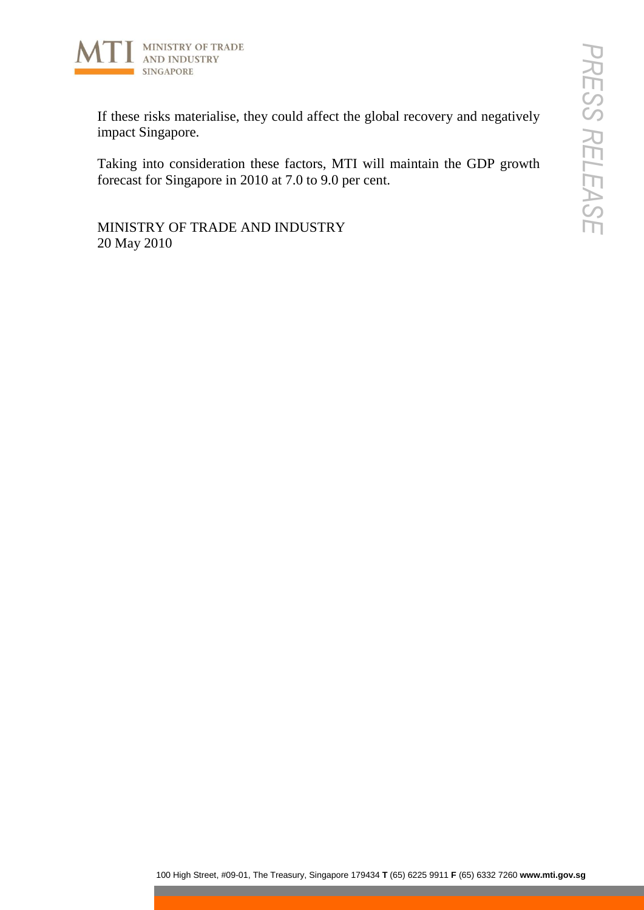

100 High Street, they could affect the global recovery and negatively<br>
FIRE Street, #100<br>
agapore.<br>
2000 Ansigapore in 2010 at 7.0 to 3.0 per cent.<br>
2000 Street, ADD INDUSTRY<br>
2015<br>
2015<br>
2015<br>
2015<br>
2015<br>
2015<br>
2015<br>
201 If these risks materialise, they could affect the global recovery and negatively impact Singapore.

Taking into consideration these factors, MTI will maintain the GDP growth forecast for Singapore in 2010 at 7.0 to 9.0 per cent.

MINISTRY OF TRADE AND INDUSTRY 20 May 2010